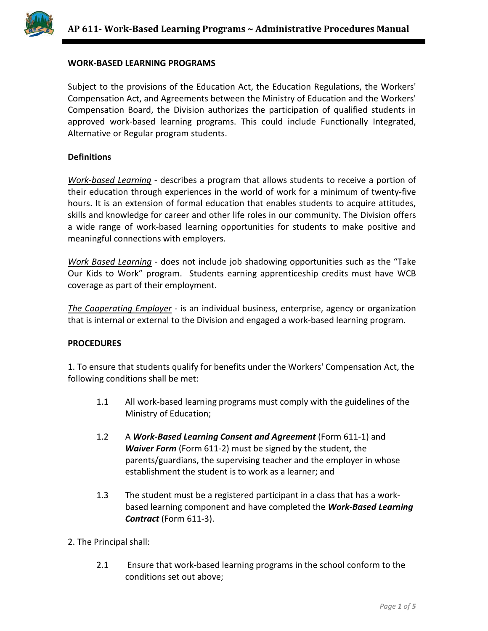

### **WORK-BASED LEARNING PROGRAMS**

Subject to the provisions of the Education Act, the Education Regulations, the Workers' Compensation Act, and Agreements between the Ministry of Education and the Workers' Compensation Board, the Division authorizes the participation of qualified students in approved work-based learning programs. This could include Functionally Integrated, Alternative or Regular program students.

### **Definitions**

*Work-based Learning* - describes a program that allows students to receive a portion of their education through experiences in the world of work for a minimum of twenty-five hours. It is an extension of formal education that enables students to acquire attitudes, skills and knowledge for career and other life roles in our community. The Division offers a wide range of work-based learning opportunities for students to make positive and meaningful connections with employers.

*Work Based Learning* - does not include job shadowing opportunities such as the "Take Our Kids to Work" program. Students earning apprenticeship credits must have WCB coverage as part of their employment.

*The Cooperating Employer* - is an individual business, enterprise, agency or organization that is internal or external to the Division and engaged a work-based learning program.

### **PROCEDURES**

1. To ensure that students qualify for benefits under the Workers' Compensation Act, the following conditions shall be met:

- 1.1 All work-based learning programs must comply with the guidelines of the Ministry of Education;
- 1.2 A *Work-Based Learning Consent and Agreement* (Form 611-1) and *Waiver Form* (Form 611-2) must be signed by the student, the parents/guardians, the supervising teacher and the employer in whose establishment the student is to work as a learner; and
- 1.3 The student must be a registered participant in a class that has a workbased learning component and have completed the *Work-Based Learning Contract* (Form 611-3).
- 2. The Principal shall:
	- 2.1 Ensure that work-based learning programs in the school conform to the conditions set out above;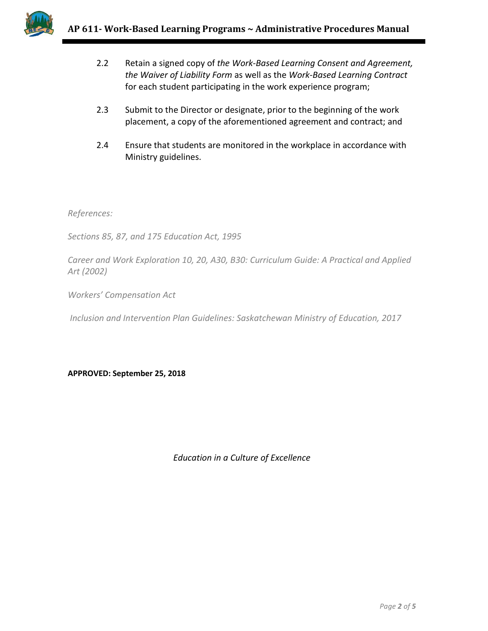

- 2.2 Retain a signed copy of *the Work-Based Learning Consent and Agreement, the Waiver of Liability Form* as well as the *Work-Based Learning Contract* for each student participating in the work experience program;
- 2.3 Submit to the Director or designate, prior to the beginning of the work placement, a copy of the aforementioned agreement and contract; and
- 2.4 Ensure that students are monitored in the workplace in accordance with Ministry guidelines.

*References:* 

*Sections 85, 87, and 175 Education Act, 1995*

*Career and Work Exploration 10, 20, A30, B30: Curriculum Guide: A Practical and Applied Art (2002)*

*Workers' Compensation Act*

*Inclusion and Intervention Plan Guidelines: Saskatchewan Ministry of Education, 2017*

**APPROVED: September 25, 2018**

*Education in a Culture of Excellence*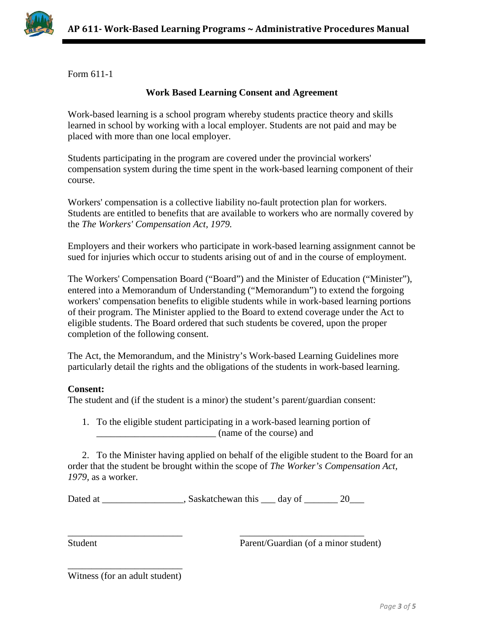

Form 611-1

## **Work Based Learning Consent and Agreement**

Work-based learning is a school program whereby students practice theory and skills learned in school by working with a local employer. Students are not paid and may be placed with more than one local employer.

Students participating in the program are covered under the provincial workers' compensation system during the time spent in the work-based learning component of their course.

Workers' compensation is a collective liability no-fault protection plan for workers. Students are entitled to benefits that are available to workers who are normally covered by the *The Workers' Compensation Act, 1979.*

Employers and their workers who participate in work-based learning assignment cannot be sued for injuries which occur to students arising out of and in the course of employment.

The Workers' Compensation Board ("Board") and the Minister of Education ("Minister"), entered into a Memorandum of Understanding ("Memorandum") to extend the forgoing workers' compensation benefits to eligible students while in work-based learning portions of their program. The Minister applied to the Board to extend coverage under the Act to eligible students. The Board ordered that such students be covered, upon the proper completion of the following consent.

The Act, the Memorandum, and the Ministry's Work-based Learning Guidelines more particularly detail the rights and the obligations of the students in work-based learning.

### **Consent:**

The student and (if the student is a minor) the student's parent/guardian consent:

1. To the eligible student participating in a work-based learning portion of \_\_\_\_\_\_\_\_\_\_\_\_\_\_\_\_\_\_\_\_\_\_\_\_\_ (name of the course) and

2. To the Minister having applied on behalf of the eligible student to the Board for an order that the student be brought within the scope of *The Worker's Compensation Act, 1979,* as a worker.

Dated at \_\_\_\_\_\_\_\_\_\_\_\_\_\_\_\_\_, Saskatchewan this \_\_\_ day of \_\_\_\_\_\_\_ 20\_\_\_\_

\_\_\_\_\_\_\_\_\_\_\_\_\_\_\_\_\_\_\_\_\_\_\_\_ \_\_\_\_\_\_\_\_\_\_\_\_\_\_\_\_\_\_\_\_\_\_\_\_\_\_

Student Parent/Guardian (of a minor student)

| Witness (for an adult student) |  |  |  |
|--------------------------------|--|--|--|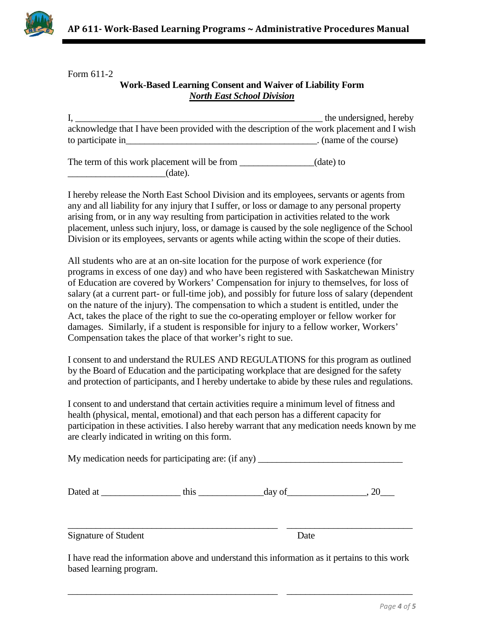

Form 611-2

# **Work-Based Learning Consent and Waiver of Liability Form** *North East School Division*

I, \_\_\_\_\_\_\_\_\_\_\_\_\_\_\_\_\_\_\_\_\_\_\_\_\_\_\_\_\_\_\_\_\_\_\_\_\_\_\_\_\_\_\_\_\_\_\_\_\_\_\_\_\_ the undersigned, hereby acknowledge that I have been provided with the description of the work placement and I wish to participate in the course) in the course of the course of the course of the course of the course of the course

The term of this work placement will be from \_\_\_\_\_\_\_\_\_\_\_\_\_(date) to  $\qquad \qquad \text{(date).}$ 

I hereby release the North East School Division and its employees, servants or agents from any and all liability for any injury that I suffer, or loss or damage to any personal property arising from, or in any way resulting from participation in activities related to the work placement, unless such injury, loss, or damage is caused by the sole negligence of the School Division or its employees, servants or agents while acting within the scope of their duties.

All students who are at an on-site location for the purpose of work experience (for programs in excess of one day) and who have been registered with Saskatchewan Ministry of Education are covered by Workers' Compensation for injury to themselves, for loss of salary (at a current part- or full-time job), and possibly for future loss of salary (dependent on the nature of the injury). The compensation to which a student is entitled, under the Act, takes the place of the right to sue the co-operating employer or fellow worker for damages. Similarly, if a student is responsible for injury to a fellow worker, Workers' Compensation takes the place of that worker's right to sue.

I consent to and understand the RULES AND REGULATIONS for this program as outlined by the Board of Education and the participating workplace that are designed for the safety and protection of participants, and I hereby undertake to abide by these rules and regulations.

I consent to and understand that certain activities require a minimum level of fitness and health (physical, mental, emotional) and that each person has a different capacity for participation in these activities. I also hereby warrant that any medication needs known by me are clearly indicated in writing on this form.

My medication needs for participating are: (if any) \_\_\_\_\_\_\_\_\_\_\_\_\_\_\_\_\_\_\_\_\_\_\_\_\_\_\_\_

| Dated at | مدحل<br> | uu | -- |
|----------|----------|----|----|
|----------|----------|----|----|

Signature of Student Date

I have read the information above and understand this information as it pertains to this work based learning program.

\_\_\_\_\_\_\_\_\_\_\_\_\_\_\_\_\_\_\_\_\_\_\_\_\_\_\_\_\_\_\_\_\_\_\_\_\_\_\_\_\_\_\_\_\_ \_\_\_\_\_\_\_\_\_\_\_\_\_\_\_\_\_\_\_\_\_\_\_\_\_\_\_

\_\_\_\_\_\_\_\_\_\_\_\_\_\_\_\_\_\_\_\_\_\_\_\_\_\_\_\_\_\_\_\_\_\_\_\_\_\_\_\_\_\_\_\_\_ \_\_\_\_\_\_\_\_\_\_\_\_\_\_\_\_\_\_\_\_\_\_\_\_\_\_\_